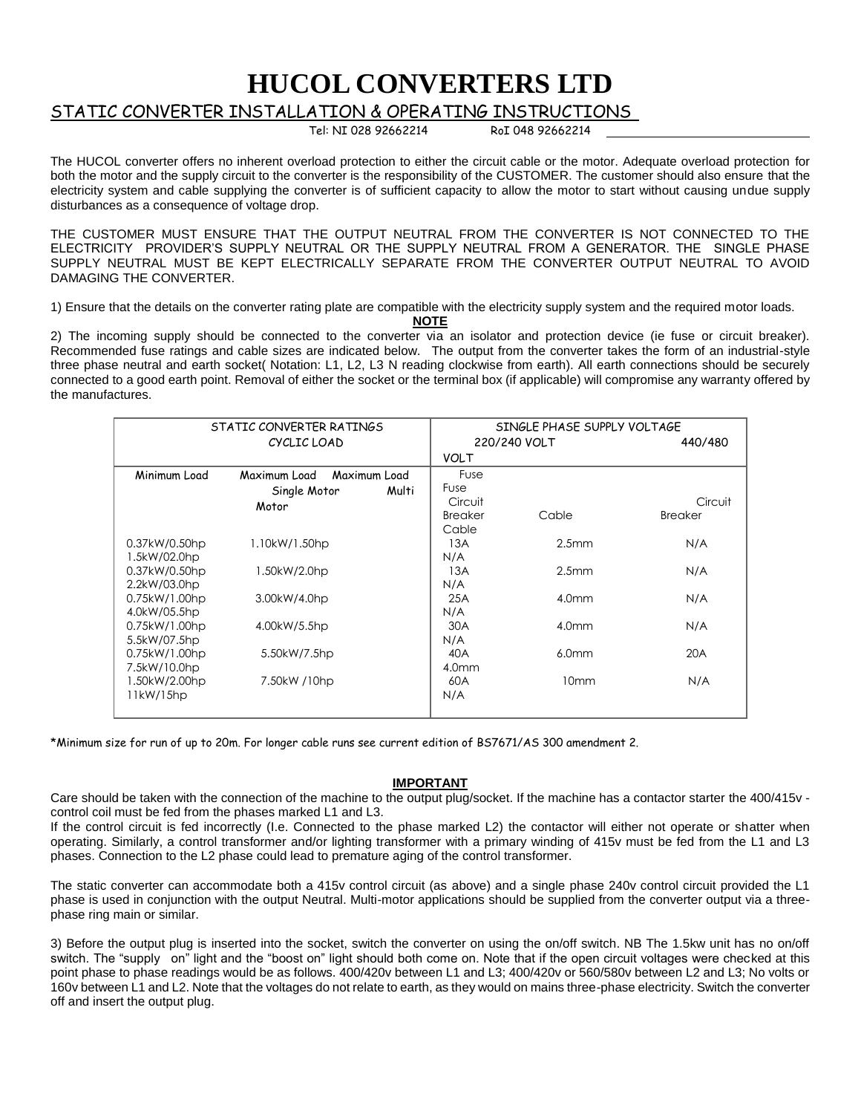## **HUCOL CONVERTERS LTD**

## STATIC CONVERTER INSTALLATION & OPERATING INSTRUCTIONS

Tel: NI 028 92662214 RoI 048 92662214

The HUCOL converter offers no inherent overload protection to either the circuit cable or the motor. Adequate overload protection for both the motor and the supply circuit to the converter is the responsibility of the CUSTOMER. The customer should also ensure that the electricity system and cable supplying the converter is of sufficient capacity to allow the motor to start without causing undue supply disturbances as a consequence of voltage drop.

THE CUSTOMER MUST ENSURE THAT THE OUTPUT NEUTRAL FROM THE CONVERTER IS NOT CONNECTED TO THE ELECTRICITY PROVIDER'S SUPPLY NEUTRAL OR THE SUPPLY NEUTRAL FROM A GENERATOR. THE SINGLE PHASE SUPPLY NEUTRAL MUST BE KEPT ELECTRICALLY SEPARATE FROM THE CONVERTER OUTPUT NEUTRAL TO AVOID DAMAGING THE CONVERTER.

1) Ensure that the details on the converter rating plate are compatible with the electricity supply system and the required motor loads.

**NOTE**

2) The incoming supply should be connected to the converter via an isolator and protection device (ie fuse or circuit breaker). Recommended fuse ratings and cable sizes are indicated below. The output from the converter takes the form of an industrial-style three phase neutral and earth socket( Notation: L1, L2, L3 N reading clockwise from earth). All earth connections should be securely connected to a good earth point. Removal of either the socket or the terminal box (if applicable) will compromise any warranty offered by the manufactures.

| STATIC CONVERTER RATINGS      |                                                                | SINGLE PHASE SUPPLY VOLTAGE                      |                   |                           |
|-------------------------------|----------------------------------------------------------------|--------------------------------------------------|-------------------|---------------------------|
| CYCLIC LOAD                   |                                                                | 220/240 VOLT                                     |                   | 440/480                   |
|                               |                                                                | <b>VOLT</b>                                      |                   |                           |
| Minimum Load                  | Maximum Load<br>Maximum Load<br>Single Motor<br>Multi<br>Motor | <b>Fuse</b><br>Fuse<br>Circuit<br><b>Breaker</b> | Cable             | Circuit<br><b>Breaker</b> |
| 0.37kW/0.50hp<br>1.5kW/02.0hp | 1.10kW/1.50hp                                                  | Cable<br>13A<br>N/A                              | 2.5 <sub>mm</sub> | N/A                       |
| 0.37kW/0.50hp<br>2.2kW/03.0hp | 1.50kW/2.0hp                                                   | 13A<br>N/A                                       | 2.5mm             | N/A                       |
| 0.75kW/1.00hp<br>4.0kW/05.5hp | 3.00kW/4.0hp                                                   | 25A<br>N/A                                       | 4.0 <sub>mm</sub> | N/A                       |
| 0.75kW/1.00hp<br>5.5kW/07.5hp | 4.00kW/5.5hp                                                   | 30A<br>N/A                                       | 4.0 <sub>mm</sub> | N/A                       |
| 0.75kW/1.00hp<br>7.5kW/10.0hp | 5.50kW/7.5hp                                                   | 40A<br>4.0 <sub>mm</sub>                         | 6.0 <sub>mm</sub> | 20A                       |
| 1.50kW/2.00hp<br>11kW/15hp    | 7.50kW /10hp                                                   | 60A<br>N/A                                       | 10mm              | N/A                       |

\*Minimum size for run of up to 20m. For longer cable runs see current edition of BS7671/AS 300 amendment 2.

## **IMPORTANT**

Care should be taken with the connection of the machine to the output plug/socket. If the machine has a contactor starter the 400/415v control coil must be fed from the phases marked L1 and L3.

If the control circuit is fed incorrectly (I.e. Connected to the phase marked L2) the contactor will either not operate or shatter when operating. Similarly, a control transformer and/or lighting transformer with a primary winding of 415v must be fed from the L1 and L3 phases. Connection to the L2 phase could lead to premature aging of the control transformer.

The static converter can accommodate both a 415v control circuit (as above) and a single phase 240v control circuit provided the L1 phase is used in conjunction with the output Neutral. Multi-motor applications should be supplied from the converter output via a threephase ring main or similar.

3) Before the output plug is inserted into the socket, switch the converter on using the on/off switch. NB The 1.5kw unit has no on/off switch. The "supply on" light and the "boost on" light should both come on. Note that if the open circuit voltages were checked at this point phase to phase readings would be as follows. 400/420v between L1 and L3; 400/420v or 560/580v between L2 and L3; No volts or 160v between L1 and L2. Note that the voltages do not relate to earth, as they would on mains three-phase electricity. Switch the converter off and insert the output plug.